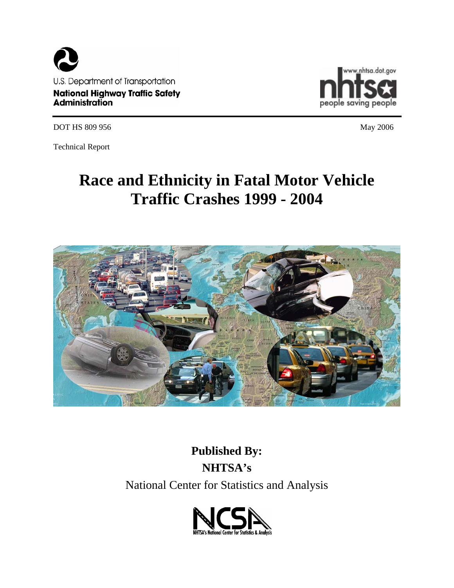



DOT HS 809 956 May 2006

Technical Report

# **Race and Ethnicity in Fatal Motor Vehicle Traffic Crashes 1999 - 2004**



**Published By: NHTSA's**  National Center for Statistics and Analysis

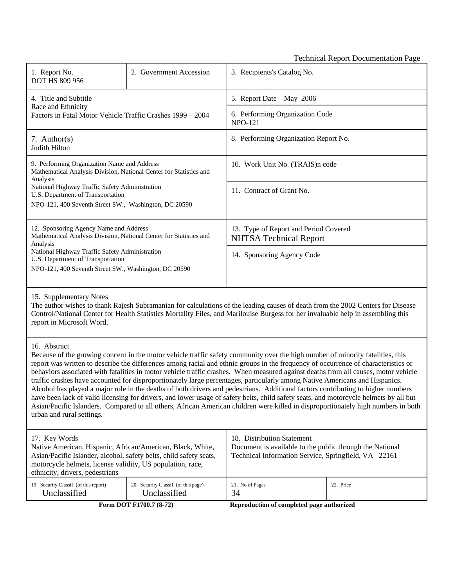Technical Report Documentation Page

| 1. Report No.<br><b>DOT HS 809 956</b>                                                                                                                                                                                                                                        | 2. Government Accession | 3. Recipients's Catalog No.                                            |  |
|-------------------------------------------------------------------------------------------------------------------------------------------------------------------------------------------------------------------------------------------------------------------------------|-------------------------|------------------------------------------------------------------------|--|
| 4. Title and Subtitle<br>Race and Ethnicity<br>Factors in Fatal Motor Vehicle Traffic Crashes 1999 – 2004                                                                                                                                                                     |                         | 5. Report Date May 2006                                                |  |
|                                                                                                                                                                                                                                                                               |                         | 6. Performing Organization Code<br><b>NPO-121</b>                      |  |
| 7. Author(s)<br>Judith Hilton                                                                                                                                                                                                                                                 |                         | 8. Performing Organization Report No.                                  |  |
| 9. Performing Organization Name and Address<br>Mathematical Analysis Division, National Center for Statistics and<br>Analysis<br>National Highway Traffic Safety Administration<br>U.S. Department of Transportation<br>NPO-121, 400 Seventh Street SW., Washington, DC 20590 |                         | 10. Work Unit No. (TRAIS)n code                                        |  |
|                                                                                                                                                                                                                                                                               |                         | 11. Contract of Grant No.                                              |  |
|                                                                                                                                                                                                                                                                               |                         |                                                                        |  |
| 12. Sponsoring Agency Name and Address<br>Mathematical Analysis Division, National Center for Statistics and<br>Analysis<br>National Highway Traffic Safety Administration<br>U.S. Department of Transportation<br>NPO-121, 400 Seventh Street SW., Washington, DC 20590      |                         | 13. Type of Report and Period Covered<br><b>NHTSA Technical Report</b> |  |
|                                                                                                                                                                                                                                                                               |                         | 14. Sponsoring Agency Code                                             |  |
|                                                                                                                                                                                                                                                                               |                         |                                                                        |  |
| 15. Supplementary Notes                                                                                                                                                                                                                                                       |                         |                                                                        |  |

The author wishes to thank Rajesh Subramanian for calculations of the leading causes of death from the 2002 Centers for Disease Control/National Center for Health Statistics Mortality Files, and Marilouise Burgess for her invaluable help in assembling this report in Microsoft Word.

#### 16. Abstract

Because of the growing concern in the motor vehicle traffic safety community over the high number of minority fatalities, this report was written to describe the differences among racial and ethnic groups in the frequency of occurrence of characteristics or behaviors associated with fatalities in motor vehicle traffic crashes. When measured against deaths from all causes, motor vehicle traffic crashes have accounted for disproportionately large percentages, particularly among Native Americans and Hispanics. Alcohol has played a major role in the deaths of both drivers and pedestrians. Additional factors contributing to higher numbers have been lack of valid licensing for drivers, and lower usage of safety belts, child safety seats, and motorcycle helmets by all but Asian/Pacific Islanders. Compared to all others, African American children were killed in disproportionately high numbers in both urban and rural settings.

| 17. Key Words<br>Native American, Hispanic, African/American, Black, White,<br>Asian/Pacific Islander, alcohol, safety belts, child safety seats,<br>motorcycle helmets, license validity, US population, race,<br>ethnicity, drivers, pedestrians |                                      | 18. Distribution Statement<br>Document is available to the public through the National<br>Technical Information Service, Springfield, VA 22161 |           |  |
|----------------------------------------------------------------------------------------------------------------------------------------------------------------------------------------------------------------------------------------------------|--------------------------------------|------------------------------------------------------------------------------------------------------------------------------------------------|-----------|--|
| 19. Security Classif. (of this report)                                                                                                                                                                                                             | 20. Security Classif. (of this page) | 21. No of Pages                                                                                                                                | 22. Price |  |
| Unclassified                                                                                                                                                                                                                                       | Unclassified                         | 34                                                                                                                                             |           |  |

Form DOT F1700.7 (8-72) **Reproduction of completed page authorized**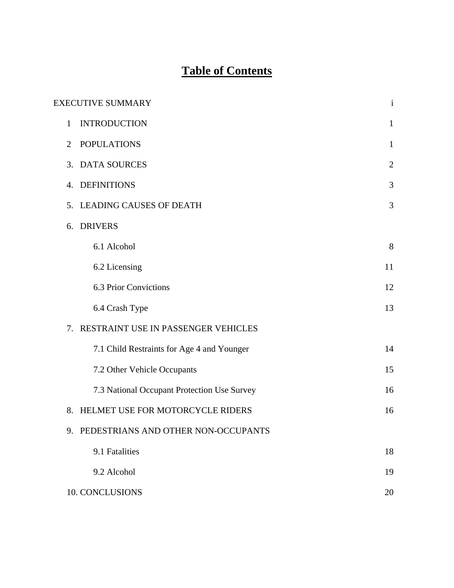## **Table of Contents**

|    | <b>EXECUTIVE SUMMARY</b>                    | $\mathbf{i}$   |
|----|---------------------------------------------|----------------|
| 1  | <b>INTRODUCTION</b>                         | $\mathbf{1}$   |
| 2  | <b>POPULATIONS</b>                          | $\mathbf{1}$   |
| 3. | <b>DATA SOURCES</b>                         | $\overline{2}$ |
| 4. | <b>DEFINITIONS</b>                          | 3              |
| 5. | <b>LEADING CAUSES OF DEATH</b>              | 3              |
| 6. | <b>DRIVERS</b>                              |                |
|    | 6.1 Alcohol                                 | 8              |
|    | 6.2 Licensing                               | 11             |
|    | <b>6.3 Prior Convictions</b>                | 12             |
|    | 6.4 Crash Type                              | 13             |
| 7. | RESTRAINT USE IN PASSENGER VEHICLES         |                |
|    | 7.1 Child Restraints for Age 4 and Younger  | 14             |
|    | 7.2 Other Vehicle Occupants                 | 15             |
|    | 7.3 National Occupant Protection Use Survey | 16             |
| 8. | HELMET USE FOR MOTORCYCLE RIDERS            | 16             |
|    | 9. PEDESTRIANS AND OTHER NON-OCCUPANTS      |                |
|    | 9.1 Fatalities                              | 18             |
|    | 9.2 Alcohol                                 | 19             |
|    | 10. CONCLUSIONS                             | 20             |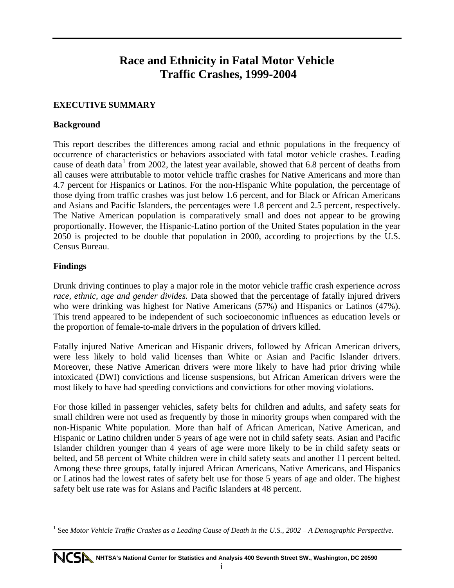### **Race and Ethnicity in Fatal Motor Vehicle Traffic Crashes, 1999-2004**

#### **EXECUTIVE SUMMARY**

#### **Background**

This report describes the differences among racial and ethnic populations in the frequency of occurrence of characteristics or behaviors associated with fatal motor vehicle crashes. Leading cause of death data<sup>[1](#page-4-0)</sup> from 2002, the latest year available, showed that 6.8 percent of deaths from all causes were attributable to motor vehicle traffic crashes for Native Americans and more than 4.7 percent for Hispanics or Latinos. For the non-Hispanic White population, the percentage of those dying from traffic crashes was just below 1.6 percent, and for Black or African Americans and Asians and Pacific Islanders, the percentages were 1.8 percent and 2.5 percent, respectively. The Native American population is comparatively small and does not appear to be growing proportionally. However, the Hispanic-Latino portion of the United States population in the year 2050 is projected to be double that population in 2000, according to projections by the U.S. Census Bureau.

#### **Findings**

 $\overline{a}$ 

Drunk driving continues to play a major role in the motor vehicle traffic crash experience *across race, ethnic, age and gender divides.* Data showed that the percentage of fatally injured drivers who were drinking was highest for Native Americans (57%) and Hispanics or Latinos (47%). This trend appeared to be independent of such socioeconomic influences as education levels or the proportion of female-to-male drivers in the population of drivers killed.

Fatally injured Native American and Hispanic drivers, followed by African American drivers, were less likely to hold valid licenses than White or Asian and Pacific Islander drivers. Moreover, these Native American drivers were more likely to have had prior driving while intoxicated (DWI) convictions and license suspensions, but African American drivers were the most likely to have had speeding convictions and convictions for other moving violations.

For those killed in passenger vehicles, safety belts for children and adults, and safety seats for small children were not used as frequently by those in minority groups when compared with the non-Hispanic White population. More than half of African American, Native American, and Hispanic or Latino children under 5 years of age were not in child safety seats. Asian and Pacific Islander children younger than 4 years of age were more likely to be in child safety seats or belted, and 58 percent of White children were in child safety seats and another 11 percent belted. Among these three groups, fatally injured African Americans, Native Americans, and Hispanics or Latinos had the lowest rates of safety belt use for those 5 years of age and older. The highest safety belt use rate was for Asians and Pacific Islanders at 48 percent.

<span id="page-4-0"></span><sup>&</sup>lt;sup>1</sup> See *Motor Vehicle Traffic Crashes as a Leading Cause of Death in the U.S., 2002 – A Demographic Perspective.*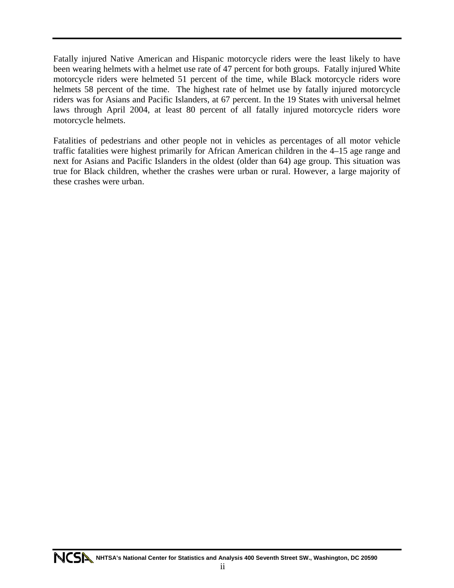Fatally injured Native American and Hispanic motorcycle riders were the least likely to have been wearing helmets with a helmet use rate of 47 percent for both groups. Fatally injured White motorcycle riders were helmeted 51 percent of the time, while Black motorcycle riders wore helmets 58 percent of the time. The highest rate of helmet use by fatally injured motorcycle riders was for Asians and Pacific Islanders, at 67 percent. In the 19 States with universal helmet laws through April 2004, at least 80 percent of all fatally injured motorcycle riders wore motorcycle helmets.

Fatalities of pedestrians and other people not in vehicles as percentages of all motor vehicle traffic fatalities were highest primarily for African American children in the 4–15 age range and next for Asians and Pacific Islanders in the oldest (older than 64) age group. This situation was true for Black children, whether the crashes were urban or rural. However, a large majority of these crashes were urban.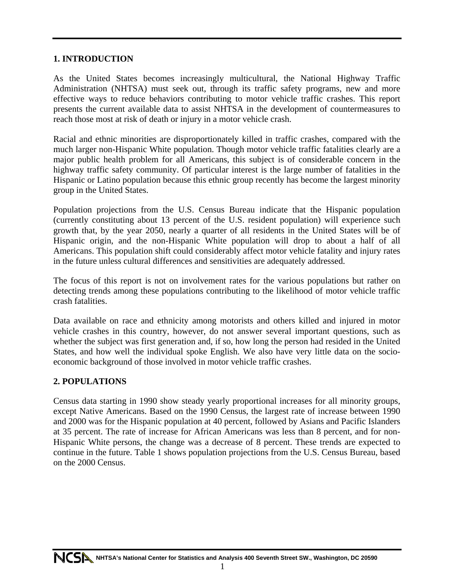#### **1. INTRODUCTION**

As the United States becomes increasingly multicultural, the National Highway Traffic Administration (NHTSA) must seek out, through its traffic safety programs, new and more effective ways to reduce behaviors contributing to motor vehicle traffic crashes. This report presents the current available data to assist NHTSA in the development of countermeasures to reach those most at risk of death or injury in a motor vehicle crash.

Racial and ethnic minorities are disproportionately killed in traffic crashes, compared with the much larger non-Hispanic White population. Though motor vehicle traffic fatalities clearly are a major public health problem for all Americans, this subject is of considerable concern in the highway traffic safety community. Of particular interest is the large number of fatalities in the Hispanic or Latino population because this ethnic group recently has become the largest minority group in the United States.

Population projections from the U.S. Census Bureau indicate that the Hispanic population (currently constituting about 13 percent of the U.S. resident population) will experience such growth that, by the year 2050, nearly a quarter of all residents in the United States will be of Hispanic origin, and the non-Hispanic White population will drop to about a half of all Americans. This population shift could considerably affect motor vehicle fatality and injury rates in the future unless cultural differences and sensitivities are adequately addressed.

The focus of this report is not on involvement rates for the various populations but rather on detecting trends among these populations contributing to the likelihood of motor vehicle traffic crash fatalities.

Data available on race and ethnicity among motorists and others killed and injured in motor vehicle crashes in this country, however, do not answer several important questions, such as whether the subject was first generation and, if so, how long the person had resided in the United States, and how well the individual spoke English. We also have very little data on the socioeconomic background of those involved in motor vehicle traffic crashes.

#### **2. POPULATIONS**

Census data starting in 1990 show steady yearly proportional increases for all minority groups, except Native Americans. Based on the 1990 Census, the largest rate of increase between 1990 and 2000 was for the Hispanic population at 40 percent, followed by Asians and Pacific Islanders at 35 percent. The rate of increase for African Americans was less than 8 percent, and for non-Hispanic White persons, the change was a decrease of 8 percent. These trends are expected to continue in the future. Table 1 shows population projections from the U.S. Census Bureau, based on the 2000 Census.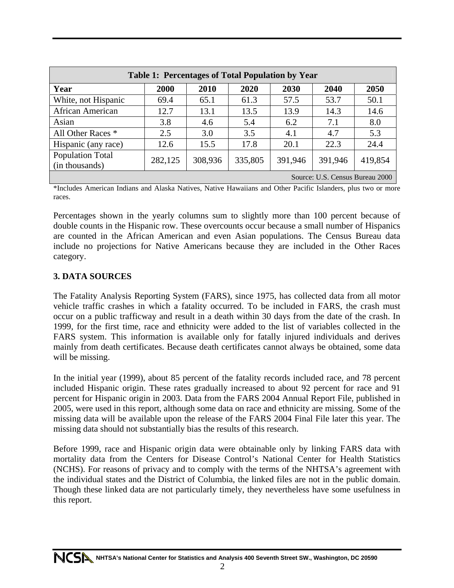| <b>Table 1: Percentages of Total Population by Year</b> |         |         |         |         |         |         |
|---------------------------------------------------------|---------|---------|---------|---------|---------|---------|
| Year                                                    | 2000    | 2010    | 2020    | 2030    | 2040    | 2050    |
| White, not Hispanic                                     | 69.4    | 65.1    | 61.3    | 57.5    | 53.7    | 50.1    |
| African American                                        | 12.7    | 13.1    | 13.5    | 13.9    | 14.3    | 14.6    |
| Asian                                                   | 3.8     | 4.6     | 5.4     | 6.2     | 7.1     | 8.0     |
| All Other Races *                                       | 2.5     | 3.0     | 3.5     | 4.1     | 4.7     | 5.3     |
| Hispanic (any race)                                     | 12.6    | 15.5    | 17.8    | 20.1    | 22.3    | 24.4    |
| <b>Population Total</b><br>(in thousands)               | 282,125 | 308,936 | 335,805 | 391,946 | 391,946 | 419,854 |
| Source: U.S. Census Bureau 2000                         |         |         |         |         |         |         |

\*Includes American Indians and Alaska Natives, Native Hawaiians and Other Pacific Islanders, plus two or more races.

Percentages shown in the yearly columns sum to slightly more than 100 percent because of double counts in the Hispanic row. These overcounts occur because a small number of Hispanics are counted in the African American and even Asian populations. The Census Bureau data include no projections for Native Americans because they are included in the Other Races category.

#### **3. DATA SOURCES**

The Fatality Analysis Reporting System (FARS), since 1975, has collected data from all motor vehicle traffic crashes in which a fatality occurred. To be included in FARS, the crash must occur on a public trafficway and result in a death within 30 days from the date of the crash. In 1999, for the first time, race and ethnicity were added to the list of variables collected in the FARS system. This information is available only for fatally injured individuals and derives mainly from death certificates. Because death certificates cannot always be obtained, some data will be missing.

In the initial year (1999), about 85 percent of the fatality records included race, and 78 percent included Hispanic origin. These rates gradually increased to about 92 percent for race and 91 percent for Hispanic origin in 2003. Data from the FARS 2004 Annual Report File, published in 2005, were used in this report, although some data on race and ethnicity are missing. Some of the missing data will be available upon the release of the FARS 2004 Final File later this year. The missing data should not substantially bias the results of this research.

Before 1999, race and Hispanic origin data were obtainable only by linking FARS data with mortality data from the Centers for Disease Control's National Center for Health Statistics (NCHS). For reasons of privacy and to comply with the terms of the NHTSA's agreement with the individual states and the District of Columbia, the linked files are not in the public domain. Though these linked data are not particularly timely, they nevertheless have some usefulness in this report.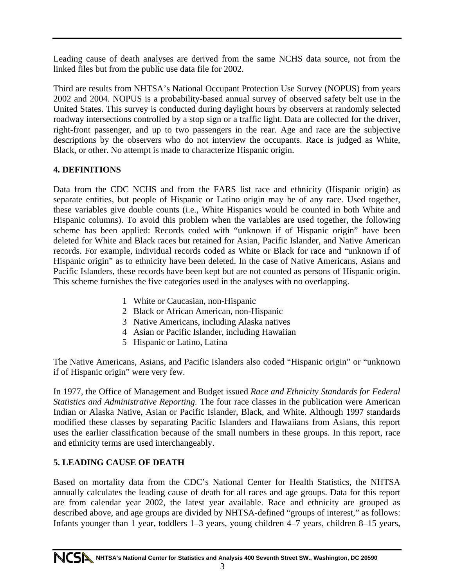Leading cause of death analyses are derived from the same NCHS data source, not from the linked files but from the public use data file for 2002.

Third are results from NHTSA's National Occupant Protection Use Survey (NOPUS) from years 2002 and 2004. NOPUS is a probability-based annual survey of observed safety belt use in the United States. This survey is conducted during daylight hours by observers at randomly selected roadway intersections controlled by a stop sign or a traffic light. Data are collected for the driver, right-front passenger, and up to two passengers in the rear. Age and race are the subjective descriptions by the observers who do not interview the occupants. Race is judged as White, Black, or other. No attempt is made to characterize Hispanic origin.

#### **4. DEFINITIONS**

Data from the CDC NCHS and from the FARS list race and ethnicity (Hispanic origin) as separate entities, but people of Hispanic or Latino origin may be of any race. Used together, these variables give double counts (i.e., White Hispanics would be counted in both White and Hispanic columns). To avoid this problem when the variables are used together, the following scheme has been applied: Records coded with "unknown if of Hispanic origin" have been deleted for White and Black races but retained for Asian, Pacific Islander, and Native American records. For example, individual records coded as White or Black for race and "unknown if of Hispanic origin" as to ethnicity have been deleted. In the case of Native Americans, Asians and Pacific Islanders, these records have been kept but are not counted as persons of Hispanic origin. This scheme furnishes the five categories used in the analyses with no overlapping.

- 1 White or Caucasian, non-Hispanic
- 2 Black or African American, non-Hispanic
- 3 Native Americans, including Alaska natives
- 4 Asian or Pacific Islander, including Hawaiian
- 5 Hispanic or Latino, Latina

The Native Americans, Asians, and Pacific Islanders also coded "Hispanic origin" or "unknown if of Hispanic origin" were very few.

In 1977, the Office of Management and Budget issued *Race and Ethnicity Standards for Federal Statistics and Administrative Reporting.* The four race classes in the publication were American Indian or Alaska Native, Asian or Pacific Islander, Black, and White. Although 1997 standards modified these classes by separating Pacific Islanders and Hawaiians from Asians, this report uses the earlier classification because of the small numbers in these groups. In this report, race and ethnicity terms are used interchangeably.

#### **5. LEADING CAUSE OF DEATH**

Based on mortality data from the CDC's National Center for Health Statistics, the NHTSA annually calculates the leading cause of death for all races and age groups. Data for this report are from calendar year 2002, the latest year available. Race and ethnicity are grouped as described above, and age groups are divided by NHTSA-defined "groups of interest," as follows: Infants younger than 1 year, toddlers 1–3 years, young children 4–7 years, children 8–15 years,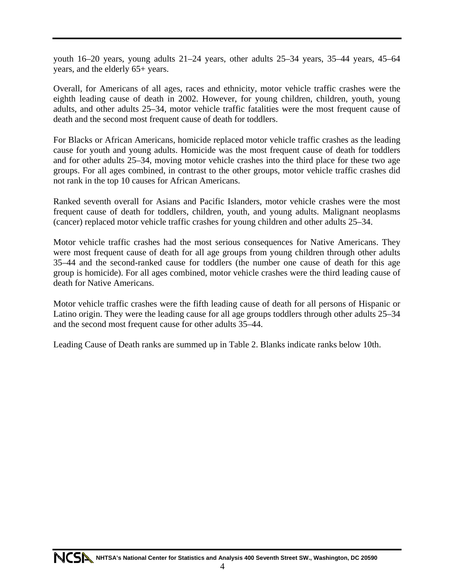youth 16–20 years, young adults 21–24 years, other adults 25–34 years, 35–44 years, 45–64 years, and the elderly 65+ years.

Overall, for Americans of all ages, races and ethnicity, motor vehicle traffic crashes were the eighth leading cause of death in 2002. However, for young children, children, youth, young adults, and other adults 25–34, motor vehicle traffic fatalities were the most frequent cause of death and the second most frequent cause of death for toddlers.

For Blacks or African Americans, homicide replaced motor vehicle traffic crashes as the leading cause for youth and young adults. Homicide was the most frequent cause of death for toddlers and for other adults 25–34, moving motor vehicle crashes into the third place for these two age groups. For all ages combined, in contrast to the other groups, motor vehicle traffic crashes did not rank in the top 10 causes for African Americans.

Ranked seventh overall for Asians and Pacific Islanders, motor vehicle crashes were the most frequent cause of death for toddlers, children, youth, and young adults. Malignant neoplasms (cancer) replaced motor vehicle traffic crashes for young children and other adults 25–34.

Motor vehicle traffic crashes had the most serious consequences for Native Americans. They were most frequent cause of death for all age groups from young children through other adults 35–44 and the second-ranked cause for toddlers (the number one cause of death for this age group is homicide). For all ages combined, motor vehicle crashes were the third leading cause of death for Native Americans.

Motor vehicle traffic crashes were the fifth leading cause of death for all persons of Hispanic or Latino origin. They were the leading cause for all age groups toddlers through other adults 25–34 and the second most frequent cause for other adults 35–44.

Leading Cause of Death ranks are summed up in Table 2. Blanks indicate ranks below 10th.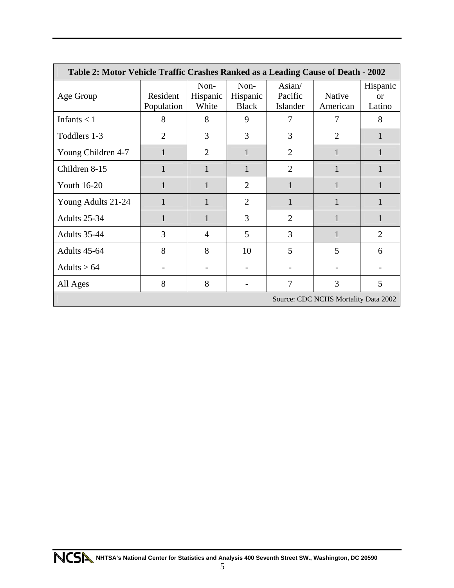| Table 2: Motor Vehicle Traffic Crashes Ranked as a Leading Cause of Death - 2002 |                        |                           |                                  |                               |                    |                                 |
|----------------------------------------------------------------------------------|------------------------|---------------------------|----------------------------------|-------------------------------|--------------------|---------------------------------|
| Age Group                                                                        | Resident<br>Population | Non-<br>Hispanic<br>White | Non-<br>Hispanic<br><b>Black</b> | Asian/<br>Pacific<br>Islander | Native<br>American | Hispanic<br><b>or</b><br>Latino |
| Infants $<$ 1                                                                    | 8                      | 8                         | 9                                | 7                             | 7                  | 8                               |
| Toddlers 1-3                                                                     | $\overline{2}$         | 3                         | 3                                | 3                             | $\overline{2}$     |                                 |
| Young Children 4-7                                                               | $\mathbf{1}$           | 2                         |                                  | $\overline{2}$                |                    |                                 |
| Children 8-15                                                                    | $\mathbf{1}$           | 1                         |                                  | $\overline{2}$                |                    |                                 |
| <b>Youth 16-20</b>                                                               | 1                      | 1                         | $\overline{2}$                   |                               | 1                  | 1                               |
| Young Adults 21-24                                                               | 1                      | 1                         | $\overline{2}$                   |                               |                    |                                 |
| Adults 25-34                                                                     | 1                      | 1                         | 3                                | $\overline{2}$                |                    |                                 |
| Adults 35-44                                                                     | 3                      | 4                         | 5                                | 3                             |                    | $\overline{2}$                  |
| Adults 45-64                                                                     | 8                      | 8                         | 10                               | 5                             | 5                  | 6                               |
| Adults $> 64$                                                                    |                        |                           |                                  |                               |                    |                                 |
| All Ages                                                                         | 8                      | 8                         |                                  | 7                             | 3                  | 5                               |
| Source: CDC NCHS Mortality Data 2002                                             |                        |                           |                                  |                               |                    |                                 |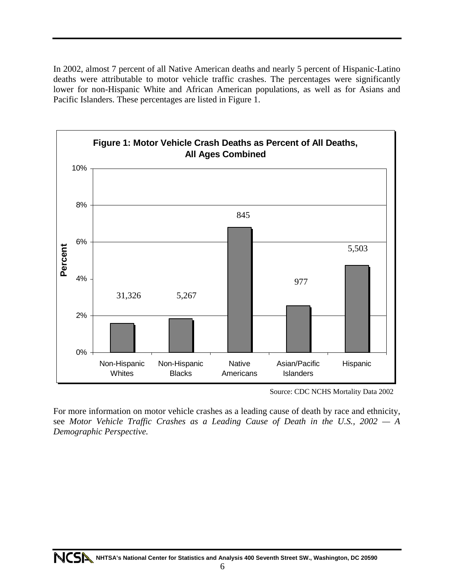In 2002, almost 7 percent of all Native American deaths and nearly 5 percent of Hispanic-Latino deaths were attributable to motor vehicle traffic crashes. The percentages were significantly lower for non-Hispanic White and African American populations, as well as for Asians and Pacific Islanders. These percentages are listed in Figure 1.



Source: CDC NCHS Mortality Data 2002

For more information on motor vehicle crashes as a leading cause of death by race and ethnicity, see *Motor Vehicle Traffic Crashes as a Leading Cause of Death in the U.S., 2002 — A Demographic Perspective.*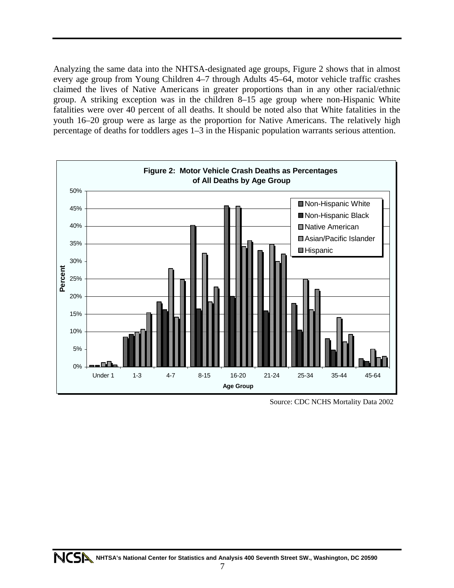Analyzing the same data into the NHTSA-designated age groups, Figure 2 shows that in almost every age group from Young Children 4–7 through Adults 45–64, motor vehicle traffic crashes claimed the lives of Native Americans in greater proportions than in any other racial/ethnic group. A striking exception was in the children 8–15 age group where non-Hispanic White fatalities were over 40 percent of all deaths. It should be noted also that White fatalities in the youth 16–20 group were as large as the proportion for Native Americans. The relatively high percentage of deaths for toddlers ages 1–3 in the Hispanic population warrants serious attention.



Source: CDC NCHS Mortality Data 2002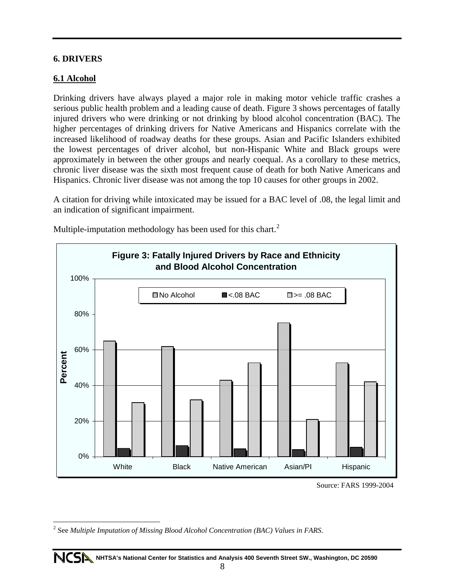#### **6. DRIVERS**

#### **6.1 Alcohol**

 $\overline{a}$ 

Drinking drivers have always played a major role in making motor vehicle traffic crashes a serious public health problem and a leading cause of death. Figure 3 shows percentages of fatally injured drivers who were drinking or not drinking by blood alcohol concentration (BAC). The higher percentages of drinking drivers for Native Americans and Hispanics correlate with the increased likelihood of roadway deaths for these groups. Asian and Pacific Islanders exhibited the lowest percentages of driver alcohol, but non-Hispanic White and Black groups were approximately in between the other groups and nearly coequal. As a corollary to these metrics, chronic liver disease was the sixth most frequent cause of death for both Native Americans and Hispanics. Chronic liver disease was not among the top 10 causes for other groups in 2002.

A citation for driving while intoxicated may be issued for a BAC level of .08, the legal limit and an indication of significant impairment.



Multiple-imputation methodology has been used for this chart.<sup>[2](#page-13-0)</sup>

Source: FARS 1999-2004

<span id="page-13-0"></span><sup>2</sup> See *Multiple Imputation of Missing Blood Alcohol Concentration (BAC) Values in FARS*.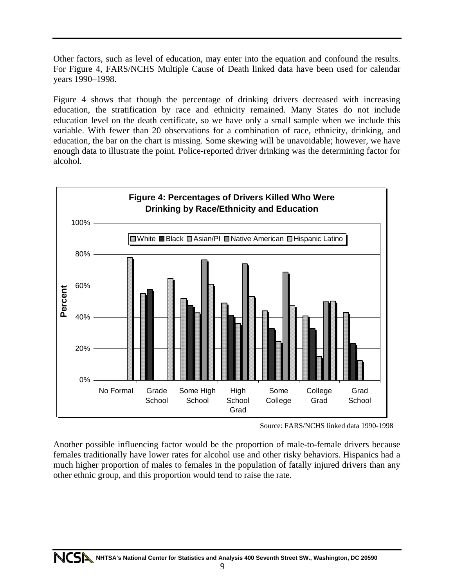Other factors, such as level of education, may enter into the equation and confound the results. For Figure 4, FARS/NCHS Multiple Cause of Death linked data have been used for calendar years 1990–1998.

Figure 4 shows that though the percentage of drinking drivers decreased with increasing education, the stratification by race and ethnicity remained. Many States do not include education level on the death certificate, so we have only a small sample when we include this variable. With fewer than 20 observations for a combination of race, ethnicity, drinking, and education, the bar on the chart is missing. Some skewing will be unavoidable; however, we have enough data to illustrate the point. Police-reported driver drinking was the determining factor for alcohol.



Source: FARS/NCHS linked data 1990-1998

Another possible influencing factor would be the proportion of male-to-female drivers because females traditionally have lower rates for alcohol use and other risky behaviors. Hispanics had a much higher proportion of males to females in the population of fatally injured drivers than any other ethnic group, and this proportion would tend to raise the rate.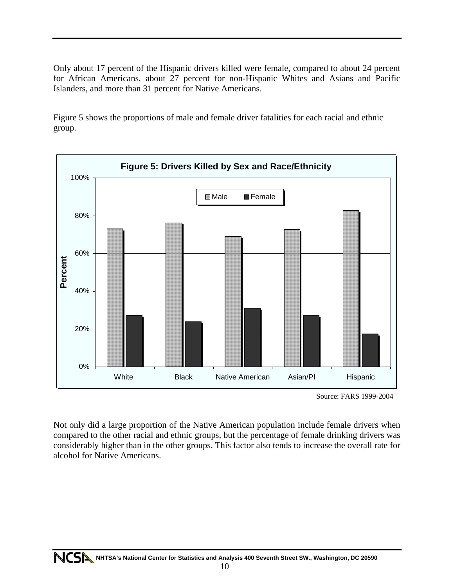Only about 17 percent of the Hispanic drivers killed were female, compared to about 24 percent for African Americans, about 27 percent for non-Hispanic Whites and Asians and Pacific Islanders, and more than 31 percent for Native Americans.

Figure 5 shows the proportions of male and female driver fatalities for each racial and ethnic group.



Source: FARS 1999-2004

Not only did a large proportion of the Native American population include female drivers when compared to the other racial and ethnic groups, but the percentage of female drinking drivers was considerably higher than in the other groups. This factor also tends to increase the overall rate for alcohol for Native Americans.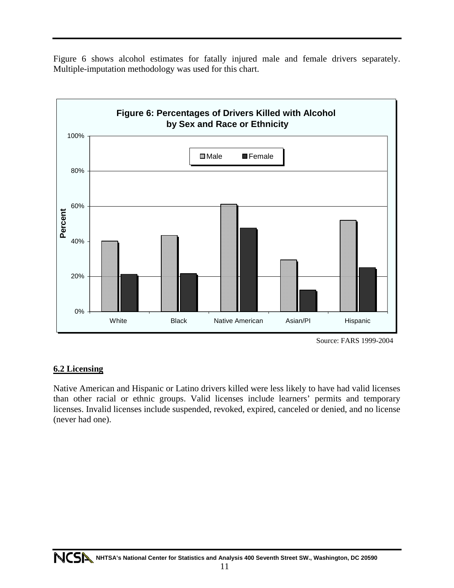Figure 6 shows alcohol estimates for fatally injured male and female drivers separately. Multiple-imputation methodology was used for this chart.



Source: FARS 1999-2004

#### **6.2 Licensing**

Native American and Hispanic or Latino drivers killed were less likely to have had valid licenses than other racial or ethnic groups. Valid licenses include learners' permits and temporary licenses. Invalid licenses include suspended, revoked, expired, canceled or denied, and no license (never had one).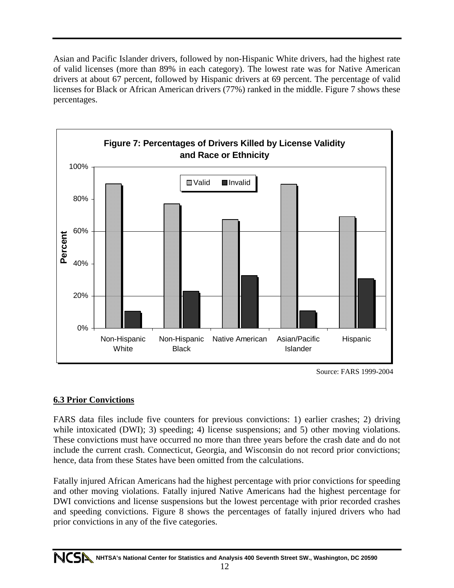Asian and Pacific Islander drivers, followed by non-Hispanic White drivers, had the highest rate of valid licenses (more than 89% in each category). The lowest rate was for Native American drivers at about 67 percent, followed by Hispanic drivers at 69 percent. The percentage of valid licenses for Black or African American drivers (77%) ranked in the middle. Figure 7 shows these percentages.



Source: FARS 1999-2004

#### **6.3 Prior Convictions**

FARS data files include five counters for previous convictions: 1) earlier crashes; 2) driving while intoxicated (DWI); 3) speeding; 4) license suspensions; and 5) other moving violations. These convictions must have occurred no more than three years before the crash date and do not include the current crash. Connecticut, Georgia, and Wisconsin do not record prior convictions; hence, data from these States have been omitted from the calculations.

Fatally injured African Americans had the highest percentage with prior convictions for speeding and other moving violations. Fatally injured Native Americans had the highest percentage for DWI convictions and license suspensions but the lowest percentage with prior recorded crashes and speeding convictions. Figure 8 shows the percentages of fatally injured drivers who had prior convictions in any of the five categories.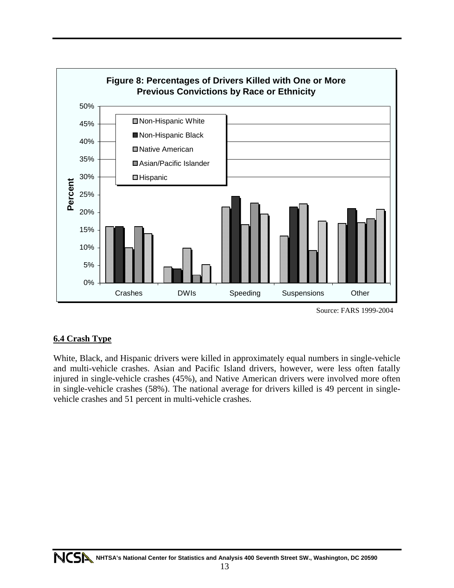

Source: FARS 1999-2004

#### **6.4 Crash Type**

White, Black, and Hispanic drivers were killed in approximately equal numbers in single-vehicle and multi-vehicle crashes. Asian and Pacific Island drivers, however, were less often fatally injured in single-vehicle crashes (45%), and Native American drivers were involved more often in single-vehicle crashes (58%). The national average for drivers killed is 49 percent in singlevehicle crashes and 51 percent in multi-vehicle crashes.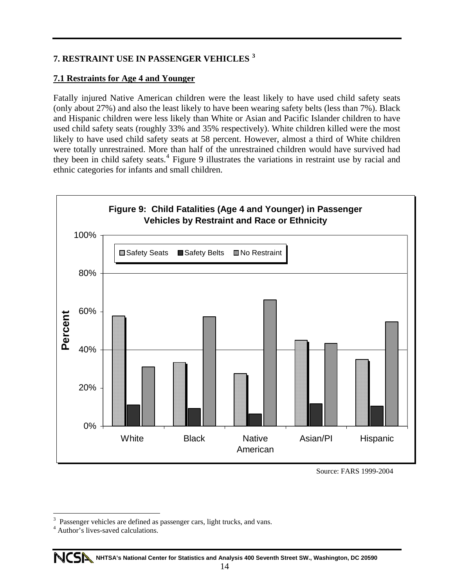#### **7. RESTRAINT USE IN PASSENGER VEHICLES [3](#page-19-0)**

#### **7.1 Restraints for Age 4 and Younger**

Fatally injured Native American children were the least likely to have used child safety seats (only about 27%) and also the least likely to have been wearing safety belts (less than 7%). Black and Hispanic children were less likely than White or Asian and Pacific Islander children to have used child safety seats (roughly 33% and 35% respectively). White children killed were the most likely to have used child safety seats at 58 percent. However, almost a third of White children were totally unrestrained. More than half of the unrestrained children would have survived had they been in child safety seats.<sup>[4](#page-19-1)</sup> Figure 9 illustrates the variations in restraint use by racial and ethnic categories for infants and small children.



Source: FARS 1999-2004

 $\overline{a}$ 

<span id="page-19-0"></span><sup>3</sup> Passenger vehicles are defined as passenger cars, light trucks, and vans.

<span id="page-19-1"></span><sup>4</sup> Author's lives-saved calculations.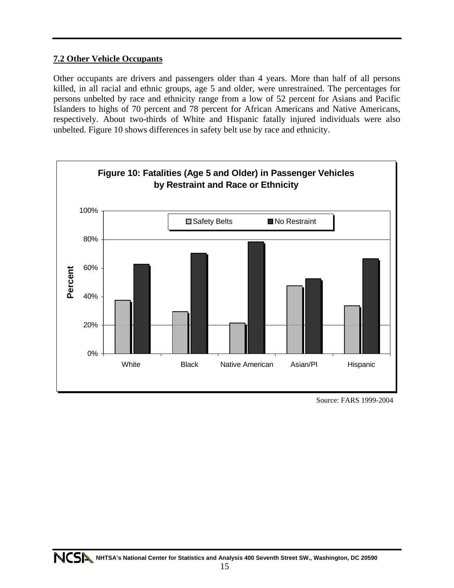#### **7.2 Other Vehicle Occupants**

Other occupants are drivers and passengers older than 4 years. More than half of all persons killed, in all racial and ethnic groups, age 5 and older, were unrestrained. The percentages for persons unbelted by race and ethnicity range from a low of 52 percent for Asians and Pacific Islanders to highs of 70 percent and 78 percent for African Americans and Native Americans, respectively. About two-thirds of White and Hispanic fatally injured individuals were also unbelted. Figure 10 shows differences in safety belt use by race and ethnicity.



Source: FARS 1999-2004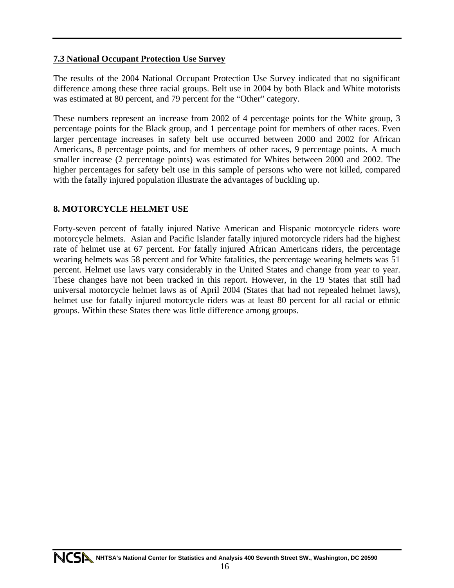#### **7.3 National Occupant Protection Use Survey**

The results of the 2004 National Occupant Protection Use Survey indicated that no significant difference among these three racial groups. Belt use in 2004 by both Black and White motorists was estimated at 80 percent, and 79 percent for the "Other" category.

These numbers represent an increase from 2002 of 4 percentage points for the White group, 3 percentage points for the Black group, and 1 percentage point for members of other races. Even larger percentage increases in safety belt use occurred between 2000 and 2002 for African Americans, 8 percentage points, and for members of other races, 9 percentage points. A much smaller increase (2 percentage points) was estimated for Whites between 2000 and 2002. The higher percentages for safety belt use in this sample of persons who were not killed, compared with the fatally injured population illustrate the advantages of buckling up.

#### **8. MOTORCYCLE HELMET USE**

Forty-seven percent of fatally injured Native American and Hispanic motorcycle riders wore motorcycle helmets. Asian and Pacific Islander fatally injured motorcycle riders had the highest rate of helmet use at 67 percent. For fatally injured African Americans riders, the percentage wearing helmets was 58 percent and for White fatalities, the percentage wearing helmets was 51 percent. Helmet use laws vary considerably in the United States and change from year to year. These changes have not been tracked in this report. However, in the 19 States that still had universal motorcycle helmet laws as of April 2004 (States that had not repealed helmet laws), helmet use for fatally injured motorcycle riders was at least 80 percent for all racial or ethnic groups. Within these States there was little difference among groups.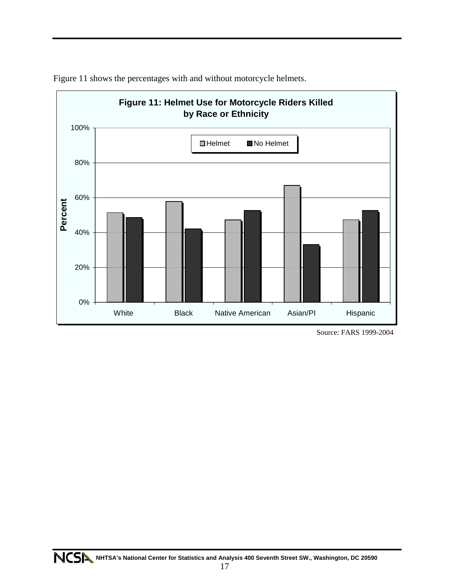

Figure 11 shows the percentages with and without motorcycle helmets.

Source: FARS 1999-2004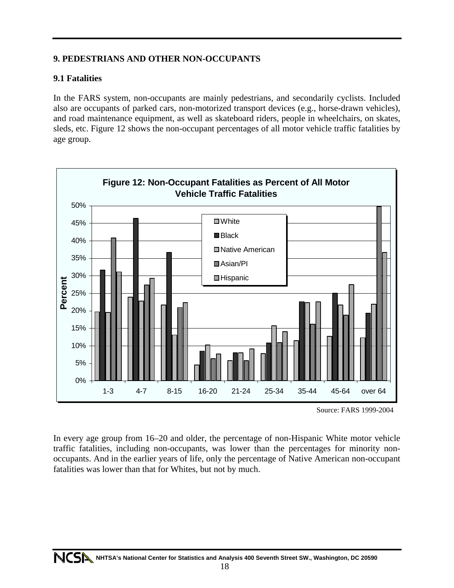#### **9. PEDESTRIANS AND OTHER NON-OCCUPANTS**

#### **9.1 Fatalities**

In the FARS system, non-occupants are mainly pedestrians, and secondarily cyclists. Included also are occupants of parked cars, non-motorized transport devices (e.g., horse-drawn vehicles), and road maintenance equipment, as well as skateboard riders, people in wheelchairs, on skates, sleds, etc. Figure 12 shows the non-occupant percentages of all motor vehicle traffic fatalities by age group.



Source: FARS 1999-2004

In every age group from 16–20 and older, the percentage of non-Hispanic White motor vehicle traffic fatalities, including non-occupants, was lower than the percentages for minority nonoccupants. And in the earlier years of life, only the percentage of Native American non-occupant fatalities was lower than that for Whites, but not by much.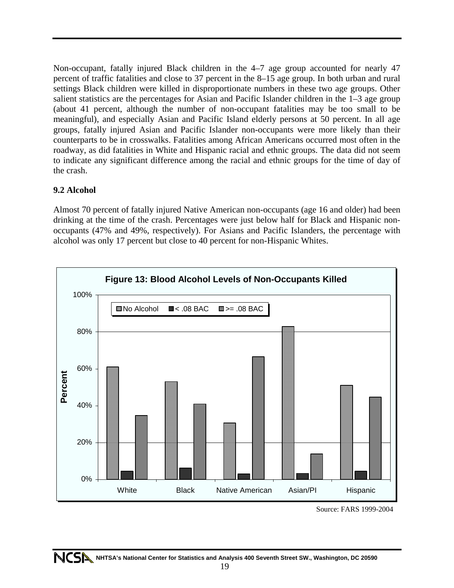Non-occupant, fatally injured Black children in the 4–7 age group accounted for nearly 47 percent of traffic fatalities and close to 37 percent in the 8–15 age group. In both urban and rural settings Black children were killed in disproportionate numbers in these two age groups. Other salient statistics are the percentages for Asian and Pacific Islander children in the 1–3 age group (about 41 percent, although the number of non-occupant fatalities may be too small to be meaningful), and especially Asian and Pacific Island elderly persons at 50 percent. In all age groups, fatally injured Asian and Pacific Islander non-occupants were more likely than their counterparts to be in crosswalks. Fatalities among African Americans occurred most often in the roadway, as did fatalities in White and Hispanic racial and ethnic groups. The data did not seem to indicate any significant difference among the racial and ethnic groups for the time of day of the crash.

#### **9.2 Alcohol**

Almost 70 percent of fatally injured Native American non-occupants (age 16 and older) had been drinking at the time of the crash. Percentages were just below half for Black and Hispanic nonoccupants (47% and 49%, respectively). For Asians and Pacific Islanders, the percentage with alcohol was only 17 percent but close to 40 percent for non-Hispanic Whites.



Source: FARS 1999-2004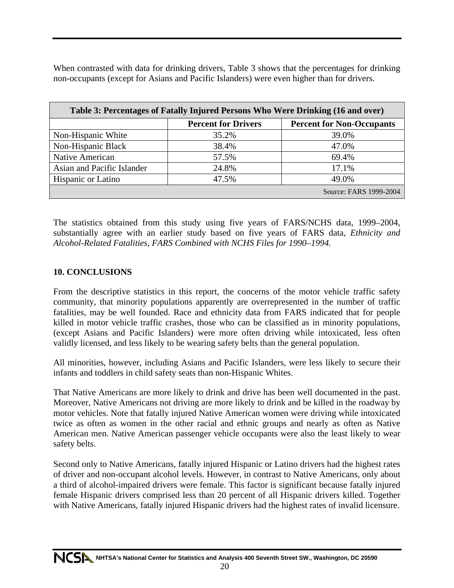When contrasted with data for drinking drivers, Table 3 shows that the percentages for drinking non-occupants (except for Asians and Pacific Islanders) were even higher than for drivers.

| Table 3: Percentages of Fatally Injured Persons Who Were Drinking (16 and over) |                            |                                  |  |  |
|---------------------------------------------------------------------------------|----------------------------|----------------------------------|--|--|
|                                                                                 | <b>Percent for Drivers</b> | <b>Percent for Non-Occupants</b> |  |  |
| Non-Hispanic White                                                              | 35.2%                      | 39.0%                            |  |  |
| Non-Hispanic Black                                                              | 38.4%                      | 47.0%                            |  |  |
| Native American                                                                 | 57.5%                      | 69.4%                            |  |  |
| Asian and Pacific Islander                                                      | 24.8%                      | 17.1%                            |  |  |
| <b>Hispanic or Latino</b>                                                       | 47.5%                      | 49.0%                            |  |  |
|                                                                                 |                            | Source: FARS 1999-2004           |  |  |

The statistics obtained from this study using five years of FARS/NCHS data, 1999–2004, substantially agree with an earlier study based on five years of FARS data, *Ethnicity and Alcohol-Related Fatalities, FARS Combined with NCHS Files for 1990–1994.* 

#### **10. CONCLUSIONS**

From the descriptive statistics in this report, the concerns of the motor vehicle traffic safety community, that minority populations apparently are overrepresented in the number of traffic fatalities, may be well founded. Race and ethnicity data from FARS indicated that for people killed in motor vehicle traffic crashes, those who can be classified as in minority populations, (except Asians and Pacific Islanders) were more often driving while intoxicated, less often validly licensed, and less likely to be wearing safety belts than the general population.

All minorities, however, including Asians and Pacific Islanders, were less likely to secure their infants and toddlers in child safety seats than non-Hispanic Whites.

That Native Americans are more likely to drink and drive has been well documented in the past. Moreover, Native Americans not driving are more likely to drink and be killed in the roadway by motor vehicles. Note that fatally injured Native American women were driving while intoxicated twice as often as women in the other racial and ethnic groups and nearly as often as Native American men. Native American passenger vehicle occupants were also the least likely to wear safety belts.

Second only to Native Americans, fatally injured Hispanic or Latino drivers had the highest rates of driver and non-occupant alcohol levels. However, in contrast to Native Americans, only about a third of alcohol-impaired drivers were female. This factor is significant because fatally injured female Hispanic drivers comprised less than 20 percent of all Hispanic drivers killed. Together with Native Americans, fatally injured Hispanic drivers had the highest rates of invalid licensure.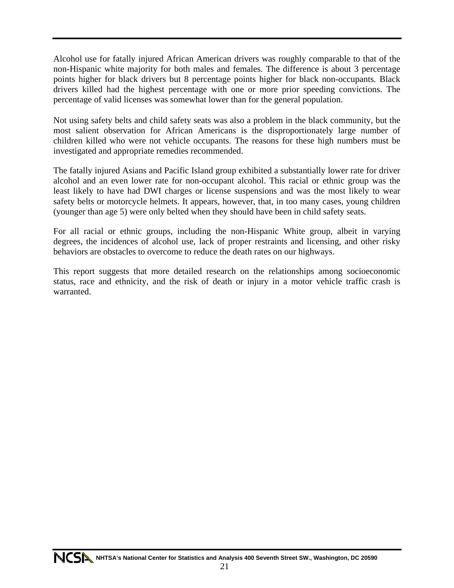Alcohol use for fatally injured African American drivers was roughly comparable to that of the non-Hispanic white majority for both males and females. The difference is about 3 percentage points higher for black drivers but 8 percentage points higher for black non-occupants. Black drivers killed had the highest percentage with one or more prior speeding convictions. The percentage of valid licenses was somewhat lower than for the general population.

Not using safety belts and child safety seats was also a problem in the black community, but the most salient observation for African Americans is the disproportionately large number of children killed who were not vehicle occupants. The reasons for these high numbers must be investigated and appropriate remedies recommended.

The fatally injured Asians and Pacific Island group exhibited a substantially lower rate for driver alcohol and an even lower rate for non-occupant alcohol. This racial or ethnic group was the least likely to have had DWI charges or license suspensions and was the most likely to wear safety belts or motorcycle helmets. It appears, however, that, in too many cases, young children (younger than age 5) were only belted when they should have been in child safety seats.

For all racial or ethnic groups, including the non-Hispanic White group, albeit in varying degrees, the incidences of alcohol use, lack of proper restraints and licensing, and other risky behaviors are obstacles to overcome to reduce the death rates on our highways.

This report suggests that more detailed research on the relationships among socioeconomic status, race and ethnicity, and the risk of death or injury in a motor vehicle traffic crash is warranted.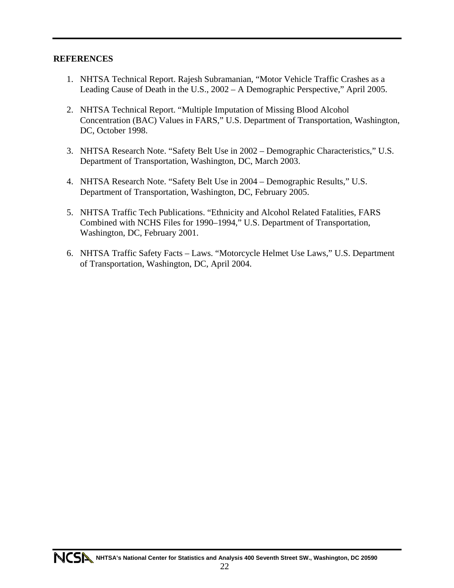#### **REFERENCES**

- 1. NHTSA Technical Report. Rajesh Subramanian, "Motor Vehicle Traffic Crashes as a Leading Cause of Death in the U.S., 2002 – A Demographic Perspective," April 2005.
- 2. NHTSA Technical Report. "Multiple Imputation of Missing Blood Alcohol Concentration (BAC) Values in FARS," U.S. Department of Transportation, Washington, DC, October 1998.
- 3. NHTSA Research Note. "Safety Belt Use in 2002 Demographic Characteristics," U.S. Department of Transportation, Washington, DC, March 2003.
- 4. NHTSA Research Note. "Safety Belt Use in 2004 Demographic Results," U.S. Department of Transportation, Washington, DC, February 2005.
- 5. NHTSA Traffic Tech Publications. "Ethnicity and Alcohol Related Fatalities, FARS Combined with NCHS Files for 1990–1994," U.S. Department of Transportation, Washington, DC, February 2001.
- 6. NHTSA Traffic Safety Facts Laws. "Motorcycle Helmet Use Laws," U.S. Department of Transportation, Washington, DC, April 2004.